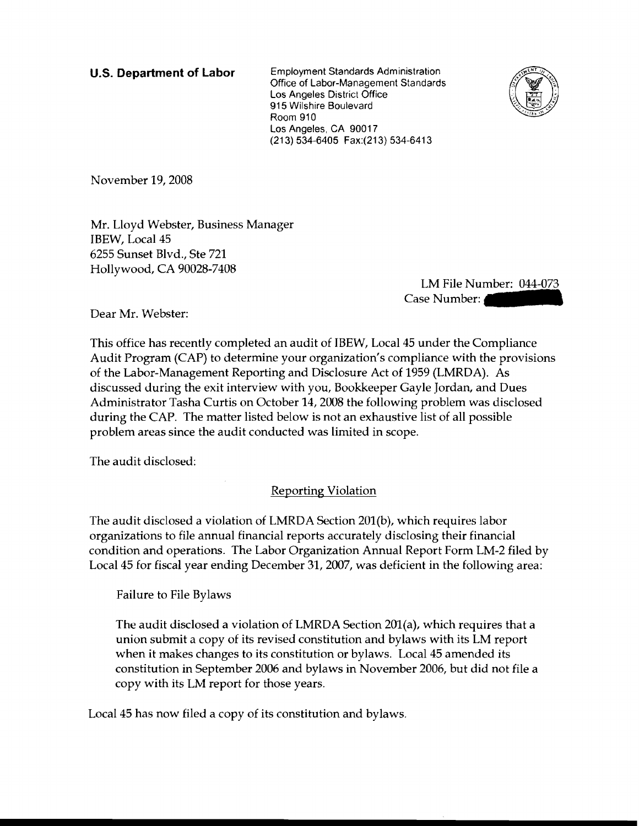**U.S. Department of Labor** Employment Standards Administration Office of Labor-Management Standards Los Angeles District Office 915 Wilshire Boulevard Room 910 Los Angeles, CA 90017 (213) 534-6405 Fax:(213) 534-6413



November 19, 2008

Mr. Lloyd Webster, Business Manager IBEW, Local 45 6255 Sunset Blvd., Ste 721 Hollywood, CA 90028-7408

> LM File Number: 044-073 Case Number:

Dear Mr. Webster:

This office has recently completed an audit of IBEW, Local 45 under the Compliance Audit Program (CAP) to determine your organization's compliance with the provisions of the Labor-Management Reporting and Disclosure Act of 1959 (LMRDA). As discussed during the exit interview with you, Bookkeeper Gayle Jordan, and Dues Administrator Tasha Curtis on October 14, 2008 the following problem was disclosed during the CAP. The matter listed below is not an exhaustive list of all possible problem areas since the audit conducted was limited in scope.

The audit disclosed:

Reporting Violation

The audit disclosed a violation of LMRDA Section 201(b), which requires labor organizations to file annual financial reports accurately disclosing their financial condition and operations. The Labor Organization Annual Report Form LM-2 filed by Local 45 for fiscal year ending December 31, 2007, was deficient in the following area:

Failure to File Bylaws

The audit disclosed a violation of LMRDA Section 201(a), which requires that a union submit a copy of its revised constitution and bylaws with its LM report when it makes changes to its constitution or bylaws. Local 45 amended its constitution in September 2006 and bylaws in November 2006, but did not file a copy with its LM report for those years.

Local 45 has now filed a copy of its constitution and bylaws.